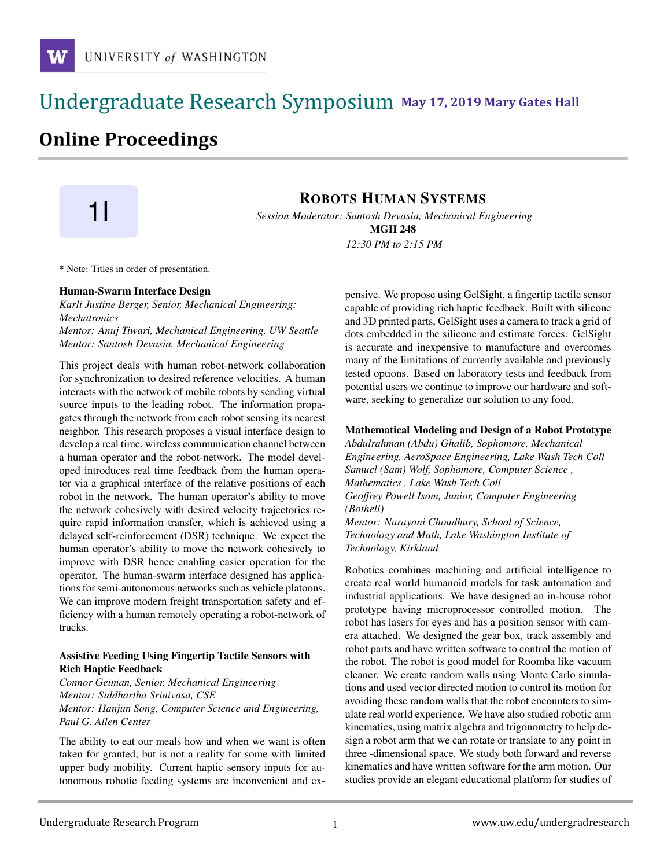### **May 17, 2019 Mary Gates Hall** Ĭ

# **Online Proceedings**

## **1**<br>*Session Moderator: Santosh Devasia, Mechanical Engineering*<br>*Session Moderator: Santosh Devasia, Mechanical Engineering* MGH 248

*12:30 PM to 2:15 PM*

\* Note: Titles in order of presentation.

#### Human-Swarm Interface Design

*Karli Justine Berger, Senior, Mechanical Engineering: Mechatronics Mentor: Anuj Tiwari, Mechanical Engineering, UW Seattle Mentor: Santosh Devasia, Mechanical Engineering*

This project deals with human robot-network collaboration for synchronization to desired reference velocities. A human interacts with the network of mobile robots by sending virtual source inputs to the leading robot. The information propagates through the network from each robot sensing its nearest neighbor. This research proposes a visual interface design to develop a real time, wireless communication channel between a human operator and the robot-network. The model developed introduces real time feedback from the human operator via a graphical interface of the relative positions of each robot in the network. The human operator's ability to move the network cohesively with desired velocity trajectories require rapid information transfer, which is achieved using a delayed self-reinforcement (DSR) technique. We expect the human operator's ability to move the network cohesively to improve with DSR hence enabling easier operation for the operator. The human-swarm interface designed has applications for semi-autonomous networks such as vehicle platoons. We can improve modern freight transportation safety and efficiency with a human remotely operating a robot-network of trucks.

#### Assistive Feeding Using Fingertip Tactile Sensors with Rich Haptic Feedback

*Connor Geiman, Senior, Mechanical Engineering Mentor: Siddhartha Srinivasa, CSE Mentor: Hanjun Song, Computer Science and Engineering, Paul G. Allen Center*

The ability to eat our meals how and when we want is often taken for granted, but is not a reality for some with limited upper body mobility. Current haptic sensory inputs for autonomous robotic feeding systems are inconvenient and expensive. We propose using GelSight, a fingertip tactile sensor capable of providing rich haptic feedback. Built with silicone and 3D printed parts, GelSight uses a camera to track a grid of dots embedded in the silicone and estimate forces. GelSight is accurate and inexpensive to manufacture and overcomes many of the limitations of currently available and previously tested options. Based on laboratory tests and feedback from potential users we continue to improve our hardware and software, seeking to generalize our solution to any food.

#### Mathematical Modeling and Design of a Robot Prototype

*Abdulrahman (Abdu) Ghalib, Sophomore, Mechanical Engineering, AeroSpace Engineering, Lake Wash Tech Coll Samuel (Sam) Wolf, Sophomore, Computer Science , Mathematics , Lake Wash Tech Coll Geoffrey Powell Isom, Junior, Computer Engineering (Bothell) Mentor: Narayani Choudhury, School of Science,*

*Technology and Math, Lake Washington Institute of Technology, Kirkland*

Robotics combines machining and artificial intelligence to create real world humanoid models for task automation and industrial applications. We have designed an in-house robot prototype having microprocessor controlled motion. The robot has lasers for eyes and has a position sensor with camera attached. We designed the gear box, track assembly and robot parts and have written software to control the motion of the robot. The robot is good model for Roomba like vacuum cleaner. We create random walls using Monte Carlo simulations and used vector directed motion to control its motion for avoiding these random walls that the robot encounters to simulate real world experience. We have also studied robotic arm kinematics, using matrix algebra and trigonometry to help design a robot arm that we can rotate or translate to any point in three -dimensional space. We study both forward and reverse kinematics and have written software for the arm motion. Our studies provide an elegant educational platform for studies of